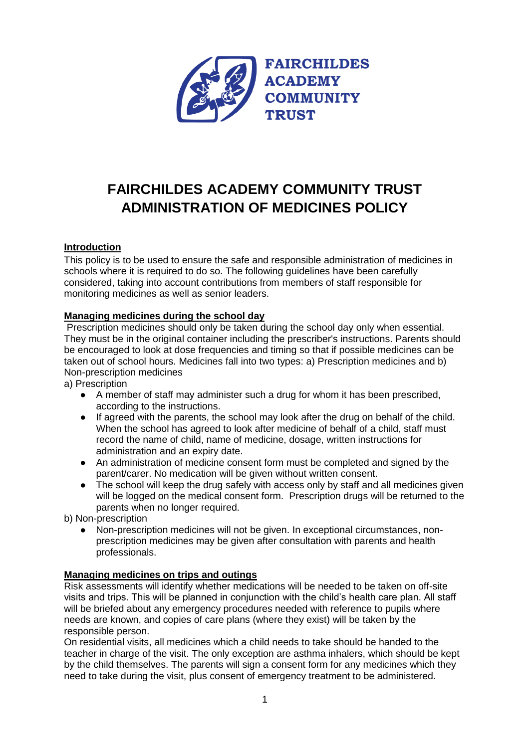

# **FAIRCHILDES ACADEMY COMMUNITY TRUST ADMINISTRATION OF MEDICINES POLICY**

# **Introduction**

This policy is to be used to ensure the safe and responsible administration of medicines in schools where it is required to do so. The following guidelines have been carefully considered, taking into account contributions from members of staff responsible for monitoring medicines as well as senior leaders.

# **Managing medicines during the school day**

Prescription medicines should only be taken during the school day only when essential. They must be in the original container including the prescriber's instructions. Parents should be encouraged to look at dose frequencies and timing so that if possible medicines can be taken out of school hours. Medicines fall into two types: a) Prescription medicines and b) Non-prescription medicines

a) Prescription

- A member of staff may administer such a drug for whom it has been prescribed, according to the instructions.
- If agreed with the parents, the school may look after the drug on behalf of the child. When the school has agreed to look after medicine of behalf of a child, staff must record the name of child, name of medicine, dosage, written instructions for administration and an expiry date.
- An administration of medicine consent form must be completed and signed by the parent/carer. No medication will be given without written consent.
- The school will keep the drug safely with access only by staff and all medicines given will be logged on the medical consent form. Prescription drugs will be returned to the parents when no longer required.

b) Non-prescription

● Non-prescription medicines will not be given. In exceptional circumstances, nonprescription medicines may be given after consultation with parents and health professionals.

#### **Managing medicines on trips and outings**

Risk assessments will identify whether medications will be needed to be taken on off-site visits and trips. This will be planned in conjunction with the child's health care plan. All staff will be briefed about any emergency procedures needed with reference to pupils where needs are known, and copies of care plans (where they exist) will be taken by the responsible person.

On residential visits, all medicines which a child needs to take should be handed to the teacher in charge of the visit. The only exception are asthma inhalers, which should be kept by the child themselves. The parents will sign a consent form for any medicines which they need to take during the visit, plus consent of emergency treatment to be administered.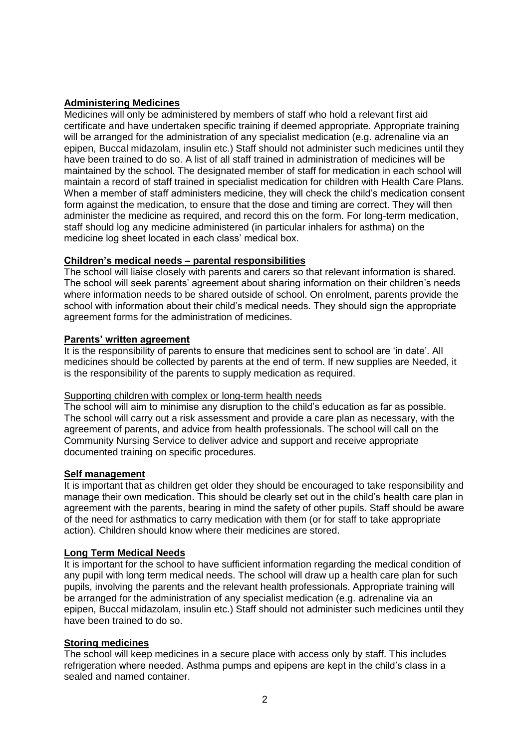### **Administering Medicines**

Medicines will only be administered by members of staff who hold a relevant first aid certificate and have undertaken specific training if deemed appropriate. Appropriate training will be arranged for the administration of any specialist medication (e.g. adrenaline via an epipen, Buccal midazolam, insulin etc.) Staff should not administer such medicines until they have been trained to do so. A list of all staff trained in administration of medicines will be maintained by the school. The designated member of staff for medication in each school will maintain a record of staff trained in specialist medication for children with Health Care Plans. When a member of staff administers medicine, they will check the child's medication consent form against the medication, to ensure that the dose and timing are correct. They will then administer the medicine as required, and record this on the form. For long-term medication, staff should log any medicine administered (in particular inhalers for asthma) on the medicine log sheet located in each class' medical box.

# **Children's medical needs – parental responsibilities**

The school will liaise closely with parents and carers so that relevant information is shared. The school will seek parents' agreement about sharing information on their children's needs where information needs to be shared outside of school. On enrolment, parents provide the school with information about their child's medical needs. They should sign the appropriate agreement forms for the administration of medicines.

#### **Parents' written agreement**

It is the responsibility of parents to ensure that medicines sent to school are 'in date'. All medicines should be collected by parents at the end of term. If new supplies are Needed, it is the responsibility of the parents to supply medication as required.

#### Supporting children with complex or long-term health needs

The school will aim to minimise any disruption to the child's education as far as possible. The school will carry out a risk assessment and provide a care plan as necessary, with the agreement of parents, and advice from health professionals. The school will call on the Community Nursing Service to deliver advice and support and receive appropriate documented training on specific procedures.

#### **Self management**

It is important that as children get older they should be encouraged to take responsibility and manage their own medication. This should be clearly set out in the child's health care plan in agreement with the parents, bearing in mind the safety of other pupils. Staff should be aware of the need for asthmatics to carry medication with them (or for staff to take appropriate action). Children should know where their medicines are stored.

#### **Long Term Medical Needs**

It is important for the school to have sufficient information regarding the medical condition of any pupil with long term medical needs. The school will draw up a health care plan for such pupils, involving the parents and the relevant health professionals. Appropriate training will be arranged for the administration of any specialist medication (e.g. adrenaline via an epipen, Buccal midazolam, insulin etc.) Staff should not administer such medicines until they have been trained to do so.

#### **Storing medicines**

The school will keep medicines in a secure place with access only by staff. This includes refrigeration where needed. Asthma pumps and epipens are kept in the child's class in a sealed and named container.